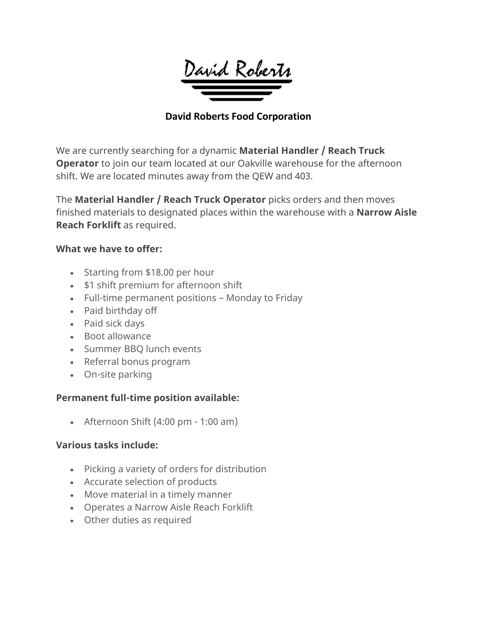

### **David Roberts Food Corporation**

We are currently searching for a dynamic **Material Handler / Reach Truck Operator** to join our team located at our Oakville warehouse for the afternoon shift. We are located minutes away from the QEW and 403.

The **Material Handler / Reach Truck Operator** picks orders and then moves finished materials to designated places within the warehouse with a **Narrow Aisle Reach Forklift** as required.

#### **What we have to offer:**

- Starting from \$18.00 per hour
- \$1 shift premium for afternoon shift
- Full-time permanent positions Monday to Friday
- Paid birthday off
- Paid sick days
- Boot allowance
- Summer BBQ lunch events
- Referral bonus program
- On-site parking

### **Permanent full-time position available:**

• Afternoon Shift  $(4:00 \text{ pm} - 1:00 \text{ am})$ 

### **Various tasks include:**

- Picking a variety of orders for distribution
- Accurate selection of products
- Move material in a timely manner
- Operates a Narrow Aisle Reach Forklift
- Other duties as required